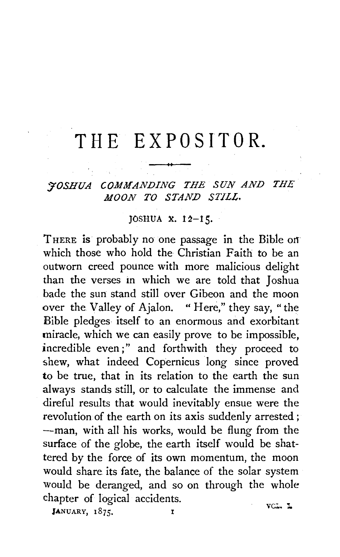## **THE EXP 0 SIT 0 R.**

*J'OSHUA COMMANDING THE SUN AND THE MOON TO STAND STILL.* 

## JOSHUA X. 12-15.

THERE is probably no one passage in the Bible on which those who hold the Christian Faith to be an outworn creed pounce with more malicious delight than the verses in which we are told that Joshua bade the sun stand still over Gibeon and the moon over the Valley of Ajalon. " Here," they say, "the Bible pledges itself to an enormous and exorbitant miracle, which we can easily prove to be impossible, incredible even;" and forthwith they proceed to shew, what indeed Copernicus long since proved to be true, that in its relation to the earth the sun always stands still, or to calculate the immense and direful results that would inevitably ensue were the revolution of the earth on its axis suddenly arrested ; -man, with all his works, would be flung from the surface of the globe, the earth itself would be shattered by the force of its own momentum, the moon would share its fate, the balance of the solar system would be deranged, and so on through the whole chapter of logical accidents. VCL. L

JANUARY, 1875.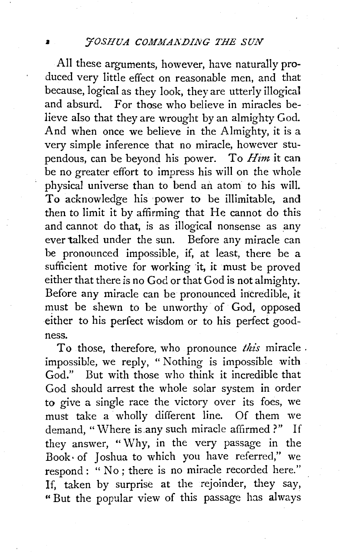All these arguments, however, have naturally produced very little effect on reasonable men, and that because, logical as they look, they are utterly illogical and absurd. For those who believe in miracles believe also that they are wrought by an almighty God. And when once we believe in the Almighty, it is a very simple inference that no miracle, however stupendous, can be beyond his power. To *Him* it can be no greater effort to impress his will on the whole physical universe than to bend an atom to his will. To acknowledge his 'power to be illimitable, and then to limit it by affirming that He cannot do this and cannot do that, is as illogical nonsense as any ever talked under the sun. Before any miracle can be pronounced impossible, if, at least, there be a sufficient motive for working it, it must be proved either that there is no God or that God is not almighty. Before any miracle can be pronounced incredible, it must be shewn to be unworthy of God, opposed either to his perfect wisdom or to his perfect goodness.

To those, therefore, who pronounce *this* miracle . impossible, we reply, "Nothing is impossible with God." But with those who think it incredible that God should arrest the whole solar system in order to give a single race the victory over its foes, we must take a wholly different line. Of them we demand, "Where is any such miracle affirmed ?" If they answer, "Why, in the very passage in the Book· of Joshua to which you have referred," we respond: "No; there is no miracle recorded here." If, taken by surprise at the rejoinder, they say, "But the popular view of this passage has always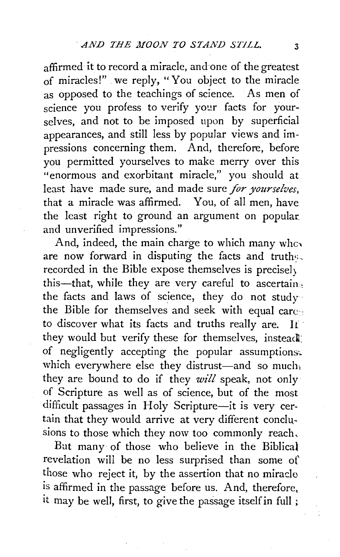affirmed it to record a miracle, and one of the greatest of miracles!" we reply, "You object to the miracle as opposed to the teachings of science. As men of science you profess to verify your facts for yourselves, and not to be imposed upon by superficial appearances, and still less by popular views and impressions concerning them. And, therefore, before you permitted yourselves to make merry over this "enormous and exorbitant miracle," you should at least have made sure, and made sure *for yourselves,*  that a miracle was affirmed. You, of all men, have the least right to ground an argument on popular and unverified impressions."

And, indeed, the main charge to which many who are now forward in disputing the facts and truths. recorded in the Bible expose themselves is precise]) this-that, while they are very careful to ascertain. the facts and laws of science, they do not study the Bible for themselves and seek with equal care. to discover what its facts and truths really are. It they would but verify these for themselves, instead of negligently accepting the popular assumptions. which everywhere else they distrust-and so much, they are bound to do if they *will* speak, not only of Scripture as well as of science, but of the most difficult passages in Holy Scripture-it is very certain that they would arrive at very different conclusions to those which they now too commonly reach,

But many of those who believe in the Biblical revelation will be no less surprised than some of those who reject it, by the assertion that no miracle is affirmed in the passage before us. And, therefore, it may be well, first, to give the passage itself in full  $\chi$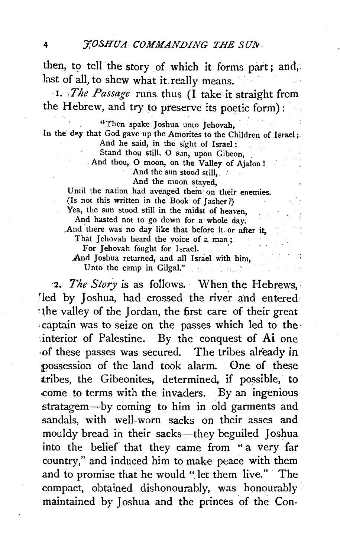then, to tell the story of which it forms part; and, last of all, to shew what it. really means.

I. *.The Passage* runs thus (I take it straight from the Hebrew, and try to preserve its poetic form):

"Then spake Joshua unto Jehovah, In the day that God gave up the Amorites to the Children of Israel; And he said, in the sight of Israel:

Stand thou still, O sun, upon Gibeon,

. And thou, O moon, on the Valley of Ajalon !

And the sun stood still, And the moon stayed,

Until the nation had avenged them on their enemies. (Is not this written in the Book of Jasher?)

Yea, the sun stood still in the midst of heaven, And hasted not to go down for a whole day.

. And there was no day like that before it or after it, That Jehovah heard the voice of a man ;

For Jehovah fought for Israel.

And Joshua returned, and all Israel with him,

Unto the camp in Gilgal."

2. *The Story* is as follows. When the Hebrews, led by Joshua, had crossed the river and entered the valley of the Jordan, the first care of their great , captain was to seize on the passes which led to the interior of Palestine. By the conquest of Ai one of these passes was secured. The tribes already in ;possession of the land took alarm. One of these tribes, the Gibeonites, determined, if possible, to .come to terms with the invaders. By an ingenious stratagem-by coming to him in old garments and sandals, with well-worn sacks on their asses and mouldy bread in their sacks-they beguiled Joshua into the belief that they came from "a very far country," and induced him to make peace with them and to promise that he would " let them live." The compact, obtained dishonourably, was honourably maintained by Joshua and the princes of the Con-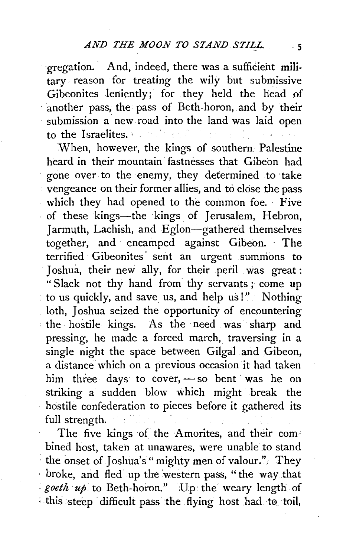gregation. And, indeed, there was a sufficient military. reason for treating the wily but submissive Gibeonites leniently; for they held the head of another pass, the pass of Beth-horon, and by their submission a new road into the land was laid open to the Israelites.

When, however, the kings of southern. Palestine heard in their mountain fastnesses that Gibeon had gone over to the enemy, they determined to take vengeance on their former allies, and to close the pass which they had opened to the common foe. · Five of these kings—the kings of Jerusalem, Hebron, Jarmuth, Lachish, and Eglon-gathered themselves together, and encamped against Gibeon. · The terrified Gibeonites' sent an urgent summons to Joshua, their new ally, for their peril was. great : "Slack not thy hand from thy servants; come up to us quickly, and save us, and help us!" Nothing loth, Joshua seized the opportunity of encountering the hostile kings. As the need was sharp and pressing, he made a forced march, traversing in a single night the space between Gilgal and Gibeon, a distance which on a previous occasion it had taken him three days to cover,  $-$  so bent was he on striking a sudden blow which might break the hostile confederation to pieces before it gathered its full strength.

The five kings of the Amorites, and their combined host, taken at unawares, were unable to stand the onset of Joshua's" mighty men of valour." They · broke; and fled up the 'western pass, "the way that goeth up to Beth-horon." Up the weary length of ' this steep ·difficult pass the flying host .had to. toil,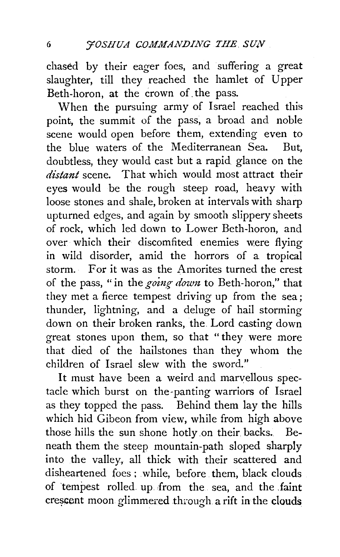chased by their eager foes, and suffering a great slaughter, till they reached the hamlet of Upper Beth-horon, at the crown of. the pass.

When the pursuing army of Israel reached this point, the summit of the pass, a broad and noble scene would open before them, extending even to the blue waters of the Mediterranean Sea. But, doubtless, they would cast but a rapid glance on the *distant* scene. That which would most attract their eyes would be the rough steep road, heavy with loose stones and shale, broken at intervals with sharp upturned edges, and again by smooth slippery sheets of rock, which led down to Lower Beth-horon, and over which their discomfited enemies were flying in wild disorder, amid the horrors of a tropical storm.· For it was as the Amorites turned the crest of the pass, "in the *going down* to Beth-horon," that they met a fierce tempest driving up from the sea; thunder, lightning, and a deluge of hail storming down on their broken ranks, the. Lord casting down great stones upon them, so that "they were more that died of the hailstones than they whom the children of Israel slew with the sword."

It must have been a weird and marvellous spectacle which burst on the-panting warriors of Israel as they topped the pass. Behind them lay the hills which hid Gibeon from view, while from high above those hills the sun shone hotly on their backs. Beneath them the steep mountain-path sloped sharply into the valley, all thick with their scattered and disheartened foes; while, before them, black clouds of 'tempest rolled. up from the sea, and the .faint cressent moon glimmered through a rift in the clouds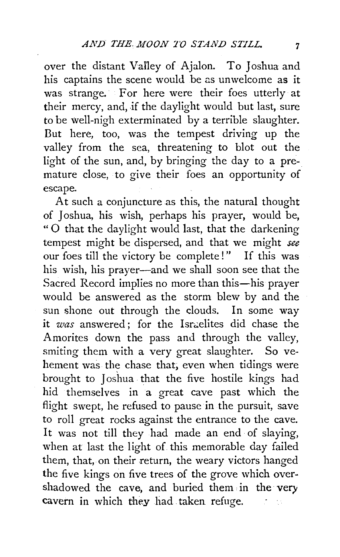over the distant Valley of Ajalon. To Joshua and his captains the scene would be as unwelcome as it was strange. For here were their foes utterly at their mercy, and, if the daylight would but last, sure to be well-nigh exterminated by a terrible slaughter. But here, too, was the tempest driving up the valley from the sea, threatening to blot out the light of the sun, and, by bringing the day to a premature close, to give their foes an opportunity of escape.

At such a conjuncture as this, the natural thought of Joshua, his wish, perhaps his prayer, would be, "0 that the daylight would last, that the darkening tempest might be dispersed, and that we might *see*  our foes till the victory be complete!" If this was his wish, his prayer-and we shall soon see that the Sacred Record implies no more than this-his prayer would be answered as the storm blew by and the sun shone out through the clouds. In some way it *was* answered; for the Israelites did chase the Amorites down the pass and through the valley, smiting them with a very great slaughter. So vehement was the chase that; even when tidings were brought to Joshua that the five hostile kings had hid themselves in a great cave past which the flight swept, he refused to pause in the pursuit, save to roll great rocks against the entrance to the cave. It was not till they had made an end of slaying, when at last the light of this memorable day failed them, that, on their return, the weary victors hanged the five kings on five trees of the grove which overshadowed the cave, and buried them in the very cavern in which they had taken refuge.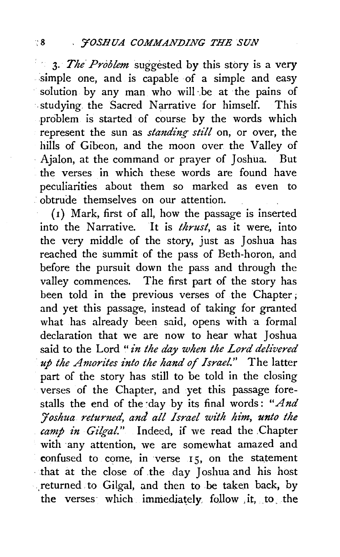3. *The Problem* suggested by this story is a very .simple one, and is capable of a simple and easy solution by any man who will be at the pains of ·.studying the Sacred Narrative for himself. This problem is started of course by the words which represent the sun as *standing stilt* on, or over, the hills of Gibeon, and the moon over the Valley of · Ajalon, at the command or prayer of Joshua. But the verses in which these words are found have peculiarities about them so marked as even to .· obtrude themselves on our attention.

( 1) Mark, first of all, how the passage is inserted into the Narrative. It is *thrust,* as it were, into the very middle of the story, just as Joshua has reached the summit of the pass of Beth-horon, and before the pursuit down the pass and through the valley commences. The first part of the story has been told in the previous verses of the Chapter ; and yet this passage, instead of taking for granted what has already been said, opens with a formal declaration that we are now to hear what Joshua said to the Lord "*in the day when the Lord delivered ·up the Anzorites i'nto the hand of Israel."* The latter part of the story has still to be told in the closing verses of the Chapter, and .yet this passage forestalls the end of the day by its final words: "And *:Joshua returned, and a!! Israel with him, unto the*  camp in Gilgal." Indeed, if we read the Chapter with any attention, we are somewhat amazed and confused to come, in verse  $15$ , on the statement that at the close of the day Joshua and his host returned to Gilgal, and then to be taken back, by the verses which immediately. follow it, to the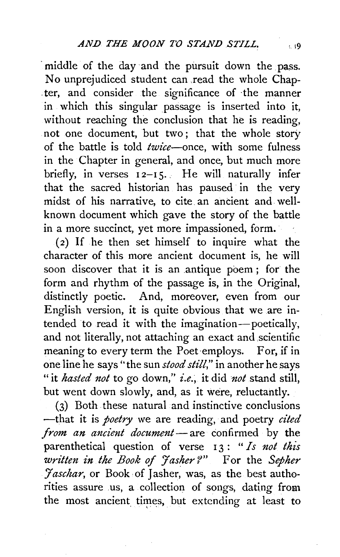middle of the day and the pursuit down the pass. No unprejudiced student can xead the whole Chap- . ter, and consider the significance of ·the manner in which this singular passage is inserted into it, without reaching the conclusion that he is reading, not one document, but two; that the whole story of the battle is told *twice-once,* with some fulness in the Chapter in general, and once, but much more briefly, in verses  $12-15$ . He will naturally infer that the sacred historian has paused in the very midst of his narrative, to cite. an ancient and wellknown document which gave the story of the battle in a more succinct, yet more impassioned, form.

 $(2)$  If he then set himself to inquire what the character of this more ancient document is, he will soon discover that it is an antique poem; for the form and rhythm of the passage is, in the Original, distinctly poetic. And, moreover, even from our English version, it is quite obvious that we are intended to read it with the imagination-poetically, and not literally, not attaching an exact and scientific meaning to every term the Poet·employs. For, if in one line he says" the sun *stood still,"* in another he says "it *hasted not* to go down," *i.e.,* it did *not* stand still, but went down slowly, and, as it were, reluctantly.

(3) Both these natural and instinctive conclusions -that it is *poetry* we are reading, and poetry *cited from an ancient document* — are confirmed by the parenthetical question of verse 13: " *Is not this written in the Book of 'Jasher ?"* For the *Sepher Jaschar*, or Book of Jasher, was, as the best authorities assure us, a collection of songs, dating from the most ancient times, but extending at least to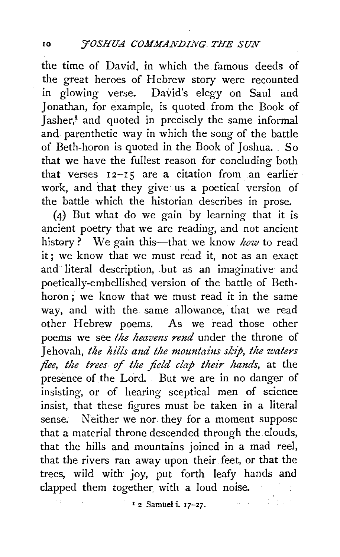the time of David, in which the. famous deeds of the great heroes of Hebrew story were recounted in glowing verse. David's elegy on Saul and Jonathan, for example, is quoted from the Book of Jasher,<sup>1</sup> and quoted in precisely the same informal and. parenthetic way in which the song of the battle of Beth-horon is quoted in the Book of Joshua. So that we have the fullest reason for concluding both that verses  $12-15$  are a citation from an earlier work, and that they give us a poetical version of the battle which the historian describes in prose.

(4) But what do we gain by learning that it is ancient poetry that we are reading, and not ancient history? We gain this-that we know *how* to read it ; we know that we must read it, not as an exact and literal description, but as an imaginative and poetically-embellished version of the battle of Bethhoron ; we know that we must read it in the same way, and with the same allowance, that we read other Hebrew poems. As we read those other poems we see *the heavens rend* under the throne of Jehovah, *the hills and the mountains skip, the waters flee, the trees of the field clap their hands,* at the presence of the Lord. But we are in no danger of insisting, or of hearing sceptical men of science insist, that these figures must be taken in a literal sense. Neither we nor they for a moment suppose that a material throne descended through the clouds, that the hills and mountains joined in a mad reel, that the rivers ran away upon their feet, or that the trees, wild with joy, put forth leafy hands and clapped them together with a loud noise.

1 2 Samuel i. 17-27.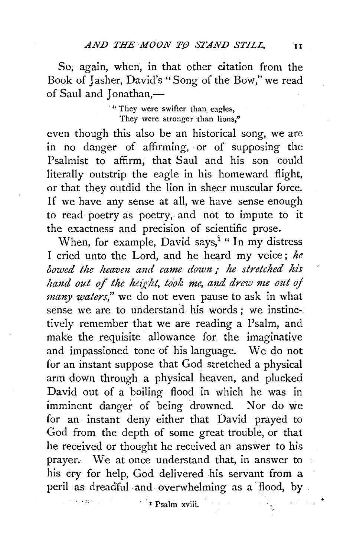So, again, when, in that other citation from the Book of Jasher, David's "Song of the Bow," we read of Saul and Jonathan,-

> . " They were swifter than. eagles, They were stronger than lions."

even though this also be an historical song, we arc in no danger of affirming, or of supposing the Psalmist to affirm, that Saul and his son could literally outstrip the eagle in his homeward flight, or that they outdid the lion in sheer muscular force. If we have any sense at all, we have sense enough to read poetry as poetry, and not to impute to it the exactness and precision of scientific prose.

When, for example, David says,<sup>1</sup> " In my distress I cried unto the Lord, and he heard my voice; *he bowed the heaven and came down* ; *he stretched his hand out of the height, took me, and drew me out of many waters,"* we do not even pause to ask in what sense we are to understand his words ; we instinc-: tively remember that we are reading a Psalm, and make the requisite allowance for the imaginative and impassioned tone of his language. We do not for an instant suppose that God stretched a physical arm down through a physical heaven, and plucked David out of a boiling flood in which he was in imminent danger of being drowned. Nor do we for an instant deny either that David prayed to God from the depth of some great trouble, or that he received or thought he received an answer to his prayer.· We at once understand that, in answer to his cry for help, God delivered his servant from a peril as dreadful and overwhelming as a flood, by .

· '1 Psalm xviii.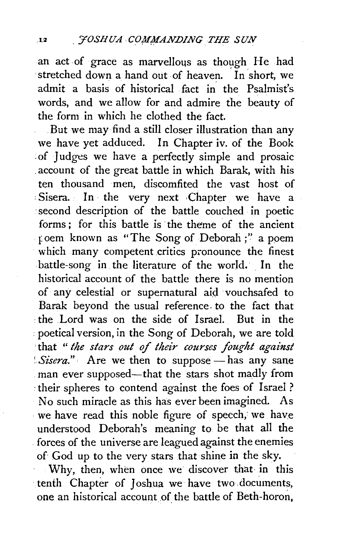an act of grace as marvellous as though He had stretched down a hand out of heaven. In short, we admit a basis of historical fact in' the Psalmist's words, and we allow for and admire the beauty of the form in which he clothed the fact.

. But we may find a still closer illustration than any we have yet adduced. In Chapter iv. of the Book : of Judges we have a perfectly simple and prosaic . account of the great battle in which Barak, with his ten thousand men, discomfited the vast host of : Sisera. In the very next ·Chapter we have a ·second description of the battle couched in poetic forms: for this battle is the theme of the ancient foem known as "The Song of Deborah;'' a poem which many competent critics pronounce the finest battle-song in the literature of the world. In the historical account of the battle there is no mention of any celestial or supernatural aid vouchsafed to Barak beyond the usual reference, to the fact that ·the Lord was on the side of Israel. But in the • poetical version, in the Song of Deborah, we are told 'that " *the stars out of their courses fought against Sisera.*" Are we then to suppose — has any sane . man ever supposed-that the stars shot madly from *:* their spheres to contend against the foes of Israel? No such miracle as this has ever been imagined. As . we have read this noble figure of speech; we. have understood Deborah's meaning to be that all the . forces of the universe are leagued against the enemies of God up to the very stars that shine in the sky.

Why, then, when once we discover that· in this ·tenth Chapter of Joshua we have two ,documents, one an historical account of the battle of Beth-horon,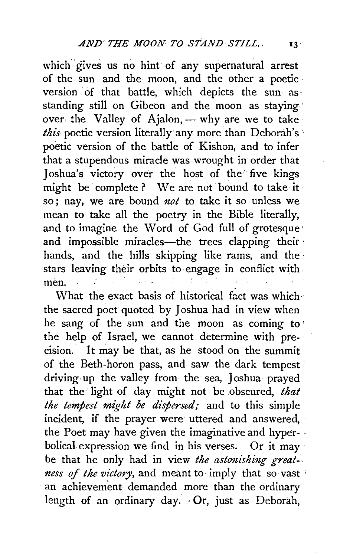which gives us no hint of any supernatural arrest of the sun and the· moon, and the other a poetic· version of that battle, which depicts the sun asstanding still on Gibeon and the moon as staying over the Valley of Ajalon, — why are we to take *this-* poetic version literally any more than Deborah's" poetic version of the battle of Kishon, and to infer . that a stupendous miracle was wrought in order that Joshua's victory over the host of the' five kings might be complete ? We are not bound to take it so; nay, we are bound *not* to take it so unless we· mean to take all the poetry in the Bible literally, and to imagine the Word of God full of grotesque' and impossible miracles-the trees clapping their hands, and the hills skipping like rams, and the stars leaving their orbits to engage in conflict with men.

What the exact basis of historical fact was which the sacred poet quoted by Joshua had in view when • he sang of the sun and the moon as coming to ' the help of Israel, we cannot determine with precision. It may be that, as he stood on the summit of the Beth-horon pass, and saw the dark tempest driving up the valley from the sea, Joshua prayed that the light of day might not be .obscured, *that the tempest might be dispersed;* and to this simple incident, if the prayer were uttered and answered, the Poet may have given the imaginative and hyper- . bolical expression we find in his verses. Or it may *be* that he only had in view *the astonishing greatness of the victory,* and meant to· imply that so vast · an achievement demanded more than the ordinary length of an ordinary day. · Or, just as Deborah,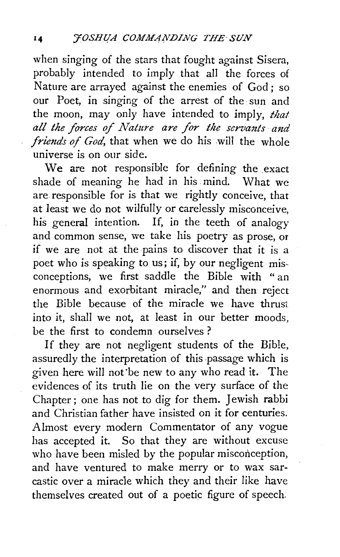when singing of the stars that fought against Sisera, probably intended to imply that all the forces of Nature are arrayed against the enemies of God; so our Poet, in singing of the arrest of the sun and the moon, may only have intended to imply, *that all the forces of Nature are for the servants and friends of God,* that when we do his will the whole universe is on our side.

We are not responsible for defining the exact shade of meaning he had in his mind. What we are responsible for is that we rightly conceive, that at least we do not wilfully or carelessly misconceive, his general intention. If, in the teeth of analogy and common sense, we take his poetry as prose, or if we are not at the pains to discover that it is a poet who is speaking to us; if, by our negligent misconceptions, we first saddle the Bible with " an enormous and exorbitant miracle," and then reject the Bible because of the miracle we have thrust into it, shall we not, at least in our better moods, be the first to condemn ourselves?

If they are not negligent students of the Bible, assuredly the interpretation of this passage which is given here will not'be new to any who read it. The evidences of its truth lie on the very surface of the Chapter; one has not to dig for them. Jewish rabbi and Christian father have insisted on it for centuries. Almost every modern Commentator of any vogue has accepted it. So that they are without excuse who have been misled by the popular misconception, and have ventured to make merry or to wax sarcastic over a miracle which they and their like have themselves created out of a poetic figure of speech.